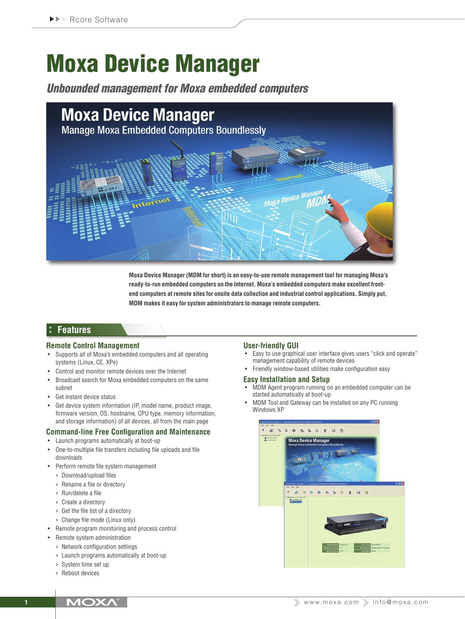# Moxa Device Manager

*Unbounded management for Moxa embedded computers*



**Moxa Device Manager (MDM for short) is an easy-to-use remote management tool for managing Moxa's ready-to-run embedded computers on the Internet. Moxa's embedded computers make excellent frontend computers at remote sites for onsite data collection and industrial control applications. Simply put, MDM makes it easy for system administrators to manage remote computers.**

## **Features**

#### **Remote Control Management**

- Supports all of Moxa's embedded computers and all operating systems (Linux, CE, XPe)
- Control and monitor remote devices over the Internet
- Broadcast search for Moxa embedded computers on the same subnet
- • Get instant device status
- • Get device system information (IP, model name, product image, firmware version, OS, hostname, CPU type, memory information, and storage information) of all devices, all from the main page

### **Command-line Free Configuration and Maintenance**

- • Launch programs automatically at boot-up
- One-to-multiple file transfers including file uploads and file downloads
- • Perform remote file system management
	- › Download/upload files
	- › Rename a file or directory
	- › Run/delete a file
	- › Create a directory
	- › Get the file list of a directory
	- › Change file mode (Linux only)
- • Remote program monitoring and process control
- • Remote system administration
	- › Network configuration settings
	- › Launch programs automatically at boot-up
	- › System time set up
	- › Reboot devices

#### **User-friendly GUI**

- Easy to use graphical user interface gives users "click and operate" management capability of remote devices
- • Friendly window-based utilities make configuration easy

#### **Easy Installation and Setup**

- MDM Agent program running on an embedded computer can be started automatically at boot-up
- MDM Tool and Gateway can be installed on any PC running Windows XP